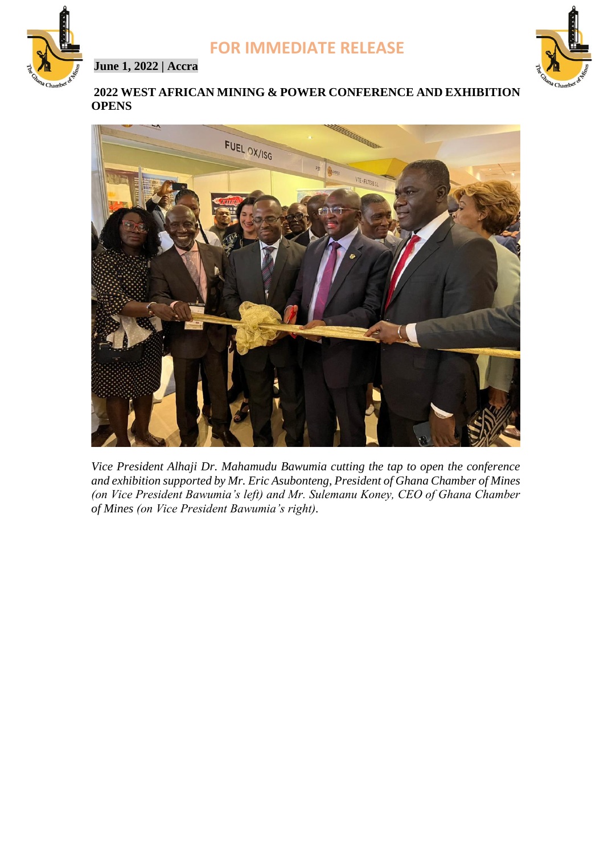

**June 1, 2022 | Accra**



## **2022 WEST AFRICAN MINING & POWER CONFERENCE AND EXHIBITION OPENS**



*Vice President Alhaji Dr. Mahamudu Bawumia cutting the tap to open the conference and exhibition supported by Mr. Eric Asubonteng, President of Ghana Chamber of Mines (on Vice President Bawumia's left) and Mr. Sulemanu Koney, CEO of Ghana Chamber of Mines (on Vice President Bawumia's right).*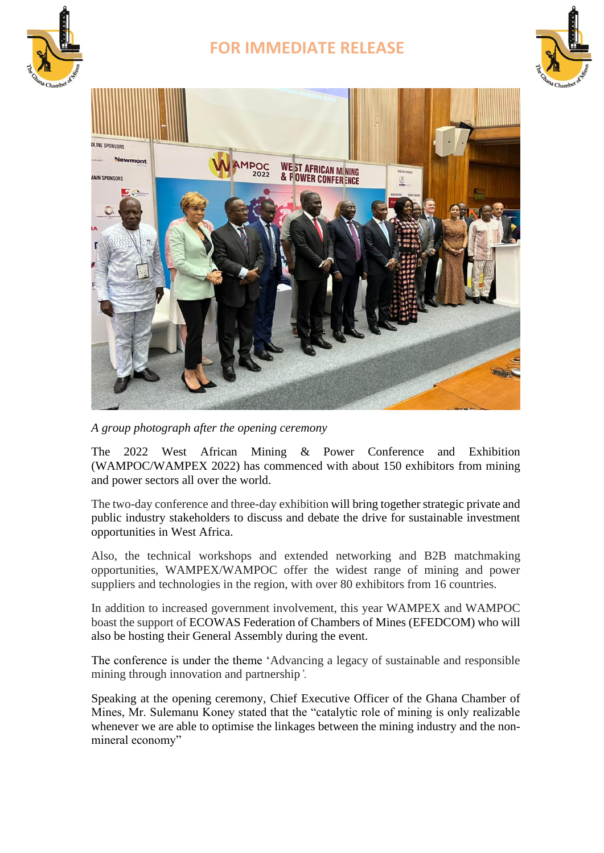

# **FOR IMMEDIATE RELEASE**





*A group photograph after the opening ceremony*

The 2022 West African Mining & Power Conference and Exhibition (WAMPOC/WAMPEX 2022) has commenced with about 150 exhibitors from mining and power sectors all over the world.

The two-day conference and three-day exhibition will bring together strategic private and public industry stakeholders to discuss and debate the drive for sustainable investment opportunities in West Africa.

Also, the technical workshops and extended networking and B2B matchmaking opportunities, WAMPEX/WAMPOC offer the widest range of mining and power suppliers and technologies in the region, with over 80 exhibitors from 16 countries.

In addition to increased government involvement, this year WAMPEX and WAMPOC boast the support of ECOWAS Federation of Chambers of Mines (EFEDCOM) who will also be hosting their General Assembly during the event.

The conference is under the theme 'Advancing a legacy of sustainable and responsible mining through innovation and partnership*'.*

Speaking at the opening ceremony, Chief Executive Officer of the Ghana Chamber of Mines, Mr. Sulemanu Koney stated that the "catalytic role of mining is only realizable whenever we are able to optimise the linkages between the mining industry and the nonmineral economy"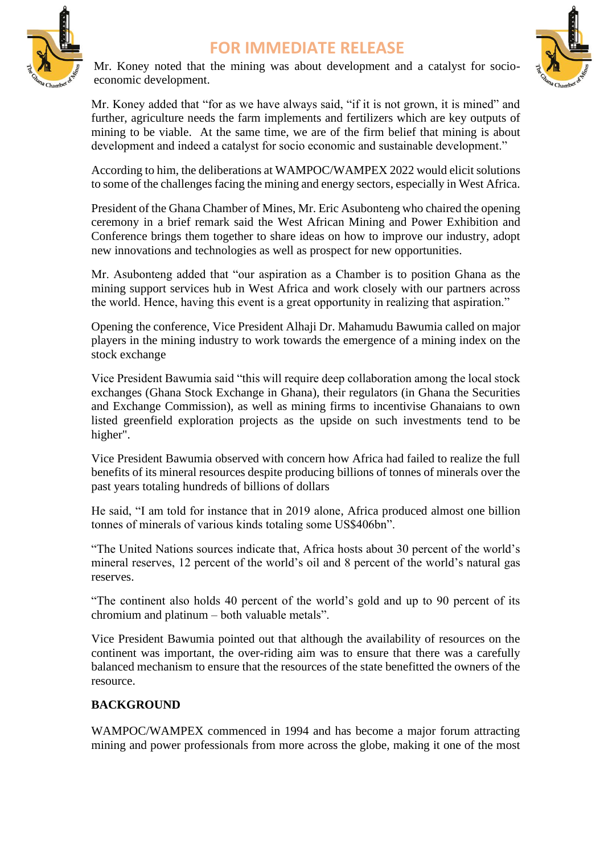



Mr. Koney noted that the mining was about development and a catalyst for socioeconomic development.



Mr. Koney added that "for as we have always said, "if it is not grown, it is mined" and further, agriculture needs the farm implements and fertilizers which are key outputs of mining to be viable. At the same time, we are of the firm belief that mining is about development and indeed a catalyst for socio economic and sustainable development."

According to him, the deliberations at WAMPOC/WAMPEX 2022 would elicit solutions to some of the challenges facing the mining and energy sectors, especially in West Africa.

President of the Ghana Chamber of Mines, Mr. Eric Asubonteng who chaired the opening ceremony in a brief remark said the West African Mining and Power Exhibition and Conference brings them together to share ideas on how to improve our industry, adopt new innovations and technologies as well as prospect for new opportunities.

Mr. Asubonteng added that "our aspiration as a Chamber is to position Ghana as the mining support services hub in West Africa and work closely with our partners across the world. Hence, having this event is a great opportunity in realizing that aspiration."

Opening the conference, Vice President Alhaji Dr. Mahamudu Bawumia called on major players in the mining industry to work towards the emergence of a mining index on the stock exchange

Vice President Bawumia said "this will require deep collaboration among the local stock exchanges (Ghana Stock Exchange in Ghana), their regulators (in Ghana the Securities and Exchange Commission), as well as mining firms to incentivise Ghanaians to own listed greenfield exploration projects as the upside on such investments tend to be higher".

Vice President Bawumia observed with concern how Africa had failed to realize the full benefits of its mineral resources despite producing billions of tonnes of minerals over the past years totaling hundreds of billions of dollars

He said, "I am told for instance that in 2019 alone, Africa produced almost one billion tonnes of minerals of various kinds totaling some US\$406bn".

"The United Nations sources indicate that, Africa hosts about 30 percent of the world's mineral reserves, 12 percent of the world's oil and 8 percent of the world's natural gas reserves.

"The continent also holds 40 percent of the world's gold and up to 90 percent of its chromium and platinum – both valuable metals".

Vice President Bawumia pointed out that although the availability of resources on the continent was important, the over-riding aim was to ensure that there was a carefully balanced mechanism to ensure that the resources of the state benefitted the owners of the resource.

## **BACKGROUND**

WAMPOC/WAMPEX commenced in 1994 and has become a major forum attracting mining and power professionals from more across the globe, making it one of the most